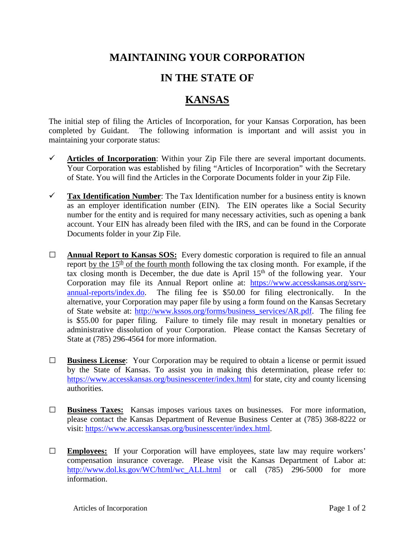## **MAINTAINING YOUR CORPORATION**

## **IN THE STATE OF**

## **KANSAS**

The initial step of filing the Articles of Incorporation, for your Kansas Corporation, has been completed by Guidant. The following information is important and will assist you in maintaining your corporate status:

- $\checkmark$  Articles of Incorporation: Within your Zip File there are several important documents. Your Corporation was established by filing "Articles of Incorporation" with the Secretary of State. You will find the Articles in the Corporate Documents folder in your Zip File.
- **Tax Identification Number**: The Tax Identification number for a business entity is known as an employer identification number (EIN). The EIN operates like a Social Security number for the entity and is required for many necessary activities, such as opening a bank account. Your EIN has already been filed with the IRS, and can be found in the Corporate Documents folder in your Zip File.
- **□ Annual Report to Kansas SOS:** Every domestic corporation is required to file an annual report by the  $15<sup>th</sup>$  of the fourth month following the tax closing month. For example, if the tax closing month is December, the due date is April  $15<sup>th</sup>$  of the following year. Your Corporation may file its Annual Report online at: [https://www.accesskansas.org/ssrv](https://www.accesskansas.org/ssrv-annual-reports/index.do)[annual-reports/index.do.](https://www.accesskansas.org/ssrv-annual-reports/index.do) The filing fee is \$50.00 for filing electronically. In the alternative, your Corporation may paper file by using a form found on the Kansas Secretary of State website at: [http://www.kssos.org/forms/business\\_services/AR.pdf.](http://www.kssos.org/forms/business_services/AR.pdf) The filing fee is \$55.00 for paper filing. Failure to timely file may result in monetary penalties or administrative dissolution of your Corporation. Please contact the Kansas Secretary of State at (785) 296-4564 for more information.
- **□ Business License**: Your Corporation may be required to obtain a license or permit issued by the State of Kansas. To assist you in making this determination, please refer to: <https://www.accesskansas.org/businesscenter/index.html> for state, city and county licensing authorities.
- **□ Business Taxes:** Kansas imposes various taxes on businesses. For more information, please contact the Kansas Department of Revenue Business Center at (785) 368-8222 or visit: [https://www.accesskansas.org/businesscenter/index.html.](https://www.accesskansas.org/businesscenter/index.html)
- **□ Employees:** If your Corporation will have employees, state law may require workers' compensation insurance coverage. Please visit the Kansas Department of Labor at: [http://www.dol.ks.gov/WC/html/wc\\_ALL.html](http://www.dol.ks.gov/WC/html/wc_ALL.html) or call (785) 296-5000 for more information.